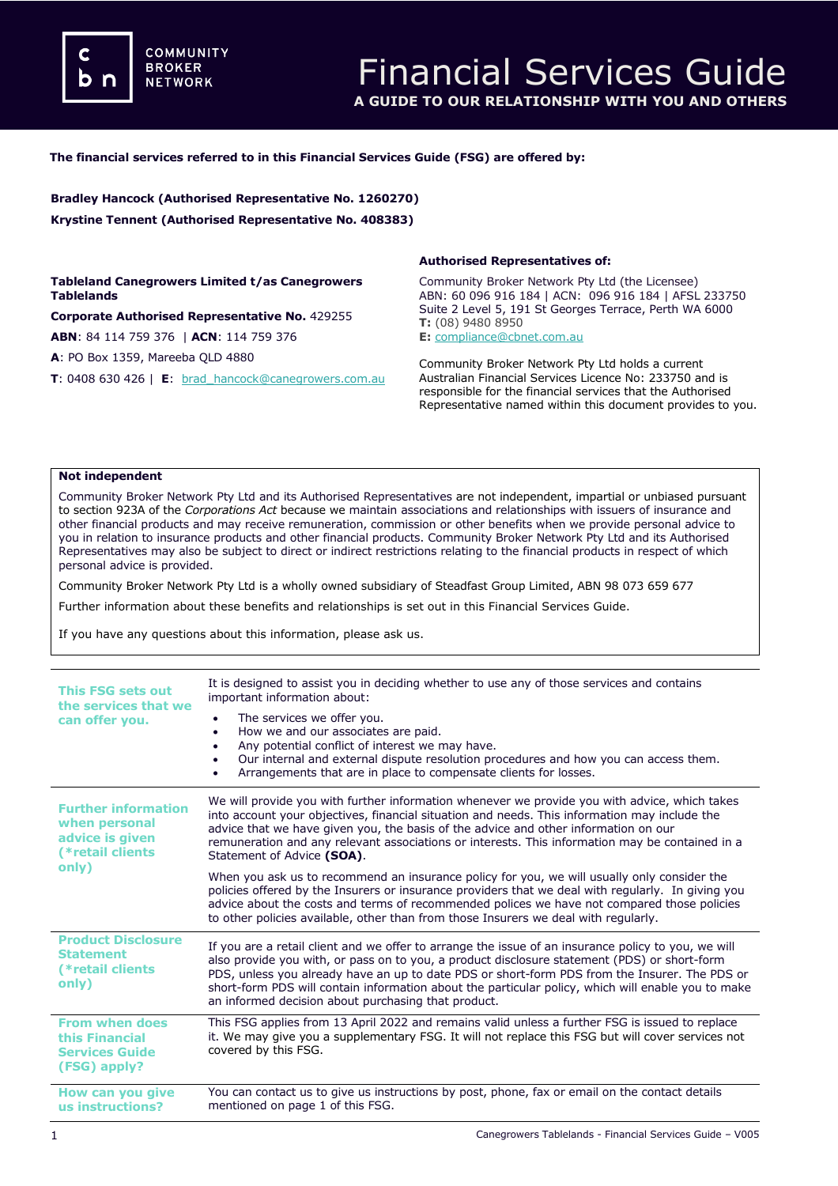**COMMUNITY BROKER NETWORK** 

### **The financial services referred to in this Financial Services Guide (FSG) are offered by:**

**Bradley Hancock (Authorised Representative No. 1260270) Krystine Tennent (Authorised Representative No. 408383)**

**Tableland Canegrowers Limited t/as Canegrowers Tablelands**

**Corporate Authorised Representative No.** 429255 **ABN**: 84 114 759 376 | **ACN**: 114 759 376

**A**: PO Box 1359, Mareeba QLD 4880

**T**: 0408 630 426 | **E**: [brad\\_hancock@canegrowers.com.au](mailto:brad_hancock@canegrowers.com.au)

### **Authorised Representatives of:**

Community Broker Network Pty Ltd (the Licensee) ABN: 60 096 916 184 | ACN: 096 916 184 | AFSL 233750 Suite 2 Level 5, 191 St Georges Terrace, Perth WA 6000 **T:** (08) 9480 8950

**E:** [compliance@cbnet.com.au](mailto:queries@naswg.com.au) 

Community Broker Network Pty Ltd holds a current Australian Financial Services Licence No: 233750 and is responsible for the financial services that the Authorised Representative named within this document provides to you.

#### **Not independent**

Community Broker Network Pty Ltd and its Authorised Representatives are not independent, impartial or unbiased pursuant to section 923A of the *Corporations Act* because we maintain associations and relationships with issuers of insurance and other financial products and may receive remuneration, commission or other benefits when we provide personal advice to you in relation to insurance products and other financial products. Community Broker Network Pty Ltd and its Authorised Representatives may also be subject to direct or indirect restrictions relating to the financial products in respect of which personal advice is provided.

Community Broker Network Pty Ltd is a wholly owned subsidiary of Steadfast Group Limited, ABN 98 073 659 677

Further information about these benefits and relationships is set out in this Financial Services Guide.

If you have any questions about this information, please ask us.

| <b>This FSG sets out</b><br>the services that we<br>can offer you.                           | It is designed to assist you in deciding whether to use any of those services and contains<br>important information about:                                                                                                                                                                                                                                                                                                                                        |
|----------------------------------------------------------------------------------------------|-------------------------------------------------------------------------------------------------------------------------------------------------------------------------------------------------------------------------------------------------------------------------------------------------------------------------------------------------------------------------------------------------------------------------------------------------------------------|
|                                                                                              | The services we offer you.<br>How we and our associates are paid.<br>٠<br>Any potential conflict of interest we may have.<br>٠<br>Our internal and external dispute resolution procedures and how you can access them.<br>$\bullet$<br>Arrangements that are in place to compensate clients for losses.                                                                                                                                                           |
| <b>Further information</b><br>when personal<br>advice is given<br>(*retail clients)<br>only) | We will provide you with further information whenever we provide you with advice, which takes<br>into account your objectives, financial situation and needs. This information may include the<br>advice that we have given you, the basis of the advice and other information on our<br>remuneration and any relevant associations or interests. This information may be contained in a<br>Statement of Advice (SOA).                                            |
|                                                                                              | When you ask us to recommend an insurance policy for you, we will usually only consider the<br>policies offered by the Insurers or insurance providers that we deal with regularly. In giving you<br>advice about the costs and terms of recommended polices we have not compared those policies<br>to other policies available, other than from those Insurers we deal with regularly.                                                                           |
| <b>Product Disclosure</b><br><b>Statement</b><br>(*retail clients)<br>only)                  | If you are a retail client and we offer to arrange the issue of an insurance policy to you, we will<br>also provide you with, or pass on to you, a product disclosure statement (PDS) or short-form<br>PDS, unless you already have an up to date PDS or short-form PDS from the Insurer. The PDS or<br>short-form PDS will contain information about the particular policy, which will enable you to make<br>an informed decision about purchasing that product. |
| <b>From when does</b><br>this Financial<br><b>Services Guide</b><br>(FSG) apply?             | This FSG applies from 13 April 2022 and remains valid unless a further FSG is issued to replace<br>it. We may give you a supplementary FSG. It will not replace this FSG but will cover services not<br>covered by this FSG.                                                                                                                                                                                                                                      |
| How can you give<br>us instructions?                                                         | You can contact us to give us instructions by post, phone, fax or email on the contact details<br>mentioned on page 1 of this FSG.                                                                                                                                                                                                                                                                                                                                |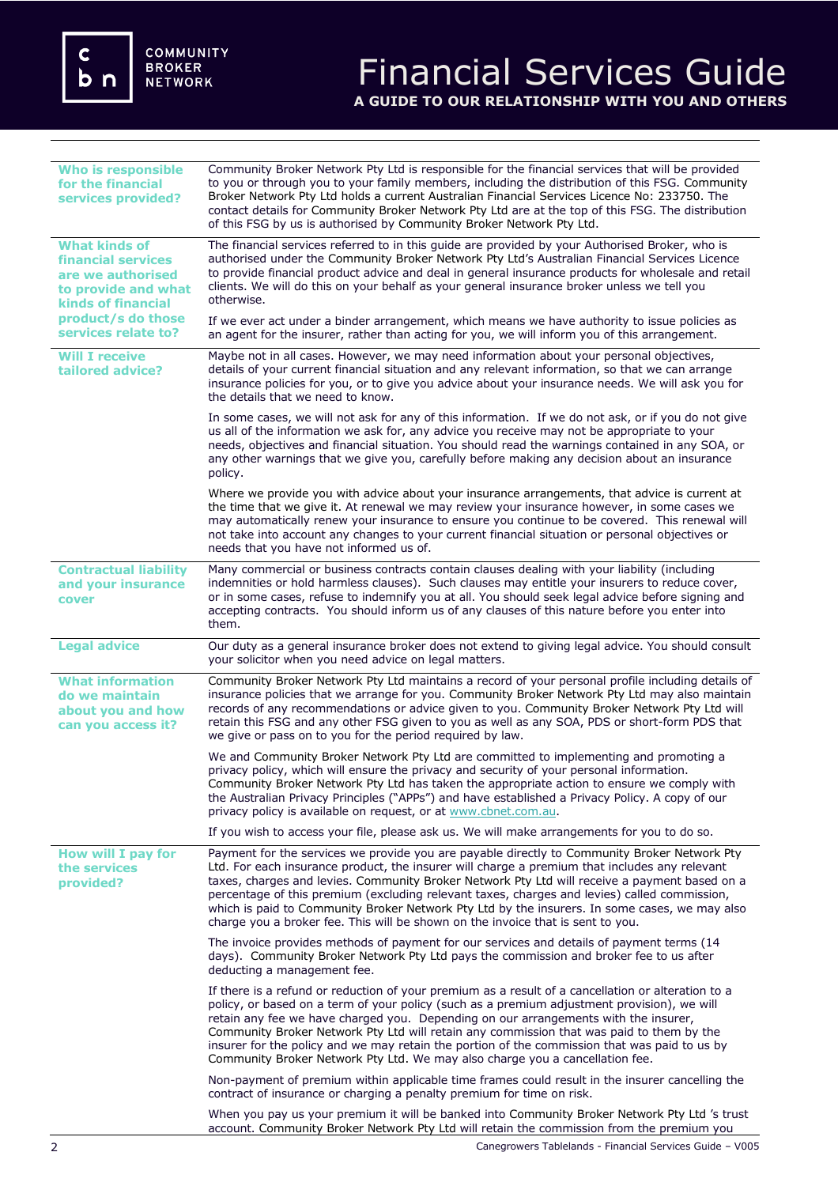c<br>b n

# Financial Services Guide **A GUIDE TO OUR RELATIONSHIP WITH YOU AND OTHERS**

| <b>Who is responsible</b><br>for the financial<br>services provided?                                                                                                    | Community Broker Network Pty Ltd is responsible for the financial services that will be provided<br>to you or through you to your family members, including the distribution of this FSG. Community<br>Broker Network Pty Ltd holds a current Australian Financial Services Licence No: 233750. The<br>contact details for Community Broker Network Pty Ltd are at the top of this FSG. The distribution<br>of this FSG by us is authorised by Community Broker Network Pty Ltd.                                                                                                   |
|-------------------------------------------------------------------------------------------------------------------------------------------------------------------------|------------------------------------------------------------------------------------------------------------------------------------------------------------------------------------------------------------------------------------------------------------------------------------------------------------------------------------------------------------------------------------------------------------------------------------------------------------------------------------------------------------------------------------------------------------------------------------|
| <b>What kinds of</b><br><b>financial services</b><br>are we authorised<br>to provide and what<br><b>kinds of financial</b><br>product/s do those<br>services relate to? | The financial services referred to in this guide are provided by your Authorised Broker, who is<br>authorised under the Community Broker Network Pty Ltd's Australian Financial Services Licence<br>to provide financial product advice and deal in general insurance products for wholesale and retail<br>clients. We will do this on your behalf as your general insurance broker unless we tell you<br>otherwise.                                                                                                                                                               |
|                                                                                                                                                                         | If we ever act under a binder arrangement, which means we have authority to issue policies as<br>an agent for the insurer, rather than acting for you, we will inform you of this arrangement.                                                                                                                                                                                                                                                                                                                                                                                     |
| <b>Will I receive</b><br>tailored advice?                                                                                                                               | Maybe not in all cases. However, we may need information about your personal objectives,<br>details of your current financial situation and any relevant information, so that we can arrange<br>insurance policies for you, or to give you advice about your insurance needs. We will ask you for<br>the details that we need to know.                                                                                                                                                                                                                                             |
|                                                                                                                                                                         | In some cases, we will not ask for any of this information. If we do not ask, or if you do not give<br>us all of the information we ask for, any advice you receive may not be appropriate to your<br>needs, objectives and financial situation. You should read the warnings contained in any SOA, or<br>any other warnings that we give you, carefully before making any decision about an insurance<br>policy.                                                                                                                                                                  |
|                                                                                                                                                                         | Where we provide you with advice about your insurance arrangements, that advice is current at<br>the time that we give it. At renewal we may review your insurance however, in some cases we<br>may automatically renew your insurance to ensure you continue to be covered. This renewal will<br>not take into account any changes to your current financial situation or personal objectives or<br>needs that you have not informed us of.                                                                                                                                       |
| <b>Contractual liability</b><br>and your insurance<br>cover                                                                                                             | Many commercial or business contracts contain clauses dealing with your liability (including<br>indemnities or hold harmless clauses). Such clauses may entitle your insurers to reduce cover,<br>or in some cases, refuse to indemnify you at all. You should seek legal advice before signing and<br>accepting contracts. You should inform us of any clauses of this nature before you enter into<br>them.                                                                                                                                                                      |
| <b>Legal advice</b>                                                                                                                                                     | Our duty as a general insurance broker does not extend to giving legal advice. You should consult<br>your solicitor when you need advice on legal matters.                                                                                                                                                                                                                                                                                                                                                                                                                         |
| <b>What information</b><br>do we maintain<br>about you and how<br>can you access it?                                                                                    | Community Broker Network Pty Ltd maintains a record of your personal profile including details of<br>insurance policies that we arrange for you. Community Broker Network Pty Ltd may also maintain<br>records of any recommendations or advice given to you. Community Broker Network Pty Ltd will<br>retain this FSG and any other FSG given to you as well as any SOA, PDS or short-form PDS that<br>we give or pass on to you for the period required by law.                                                                                                                  |
|                                                                                                                                                                         | We and Community Broker Network Pty Ltd are committed to implementing and promoting a<br>privacy policy, which will ensure the privacy and security of your personal information.<br>Community Broker Network Pty Ltd has taken the appropriate action to ensure we comply with<br>the Australian Privacy Principles ("APPs") and have established a Privacy Policy. A copy of our<br>privacy policy is available on request, or at www.cbnet.com.au.                                                                                                                              |
|                                                                                                                                                                         | If you wish to access your file, please ask us. We will make arrangements for you to do so.                                                                                                                                                                                                                                                                                                                                                                                                                                                                                        |
| How will I pay for<br>the services<br>provided?                                                                                                                         | Payment for the services we provide you are payable directly to Community Broker Network Pty<br>Ltd. For each insurance product, the insurer will charge a premium that includes any relevant<br>taxes, charges and levies. Community Broker Network Pty Ltd will receive a payment based on a<br>percentage of this premium (excluding relevant taxes, charges and levies) called commission,<br>which is paid to Community Broker Network Pty Ltd by the insurers. In some cases, we may also<br>charge you a broker fee. This will be shown on the invoice that is sent to you. |
|                                                                                                                                                                         | The invoice provides methods of payment for our services and details of payment terms (14<br>days). Community Broker Network Pty Ltd pays the commission and broker fee to us after<br>deducting a management fee.                                                                                                                                                                                                                                                                                                                                                                 |
|                                                                                                                                                                         | If there is a refund or reduction of your premium as a result of a cancellation or alteration to a<br>policy, or based on a term of your policy (such as a premium adjustment provision), we will<br>retain any fee we have charged you. Depending on our arrangements with the insurer,<br>Community Broker Network Pty Ltd will retain any commission that was paid to them by the<br>insurer for the policy and we may retain the portion of the commission that was paid to us by<br>Community Broker Network Pty Ltd. We may also charge you a cancellation fee.              |
|                                                                                                                                                                         | Non-payment of premium within applicable time frames could result in the insurer cancelling the<br>contract of insurance or charging a penalty premium for time on risk.                                                                                                                                                                                                                                                                                                                                                                                                           |
|                                                                                                                                                                         | When you pay us your premium it will be banked into Community Broker Network Pty Ltd 's trust<br>account. Community Broker Network Pty Ltd will retain the commission from the premium you                                                                                                                                                                                                                                                                                                                                                                                         |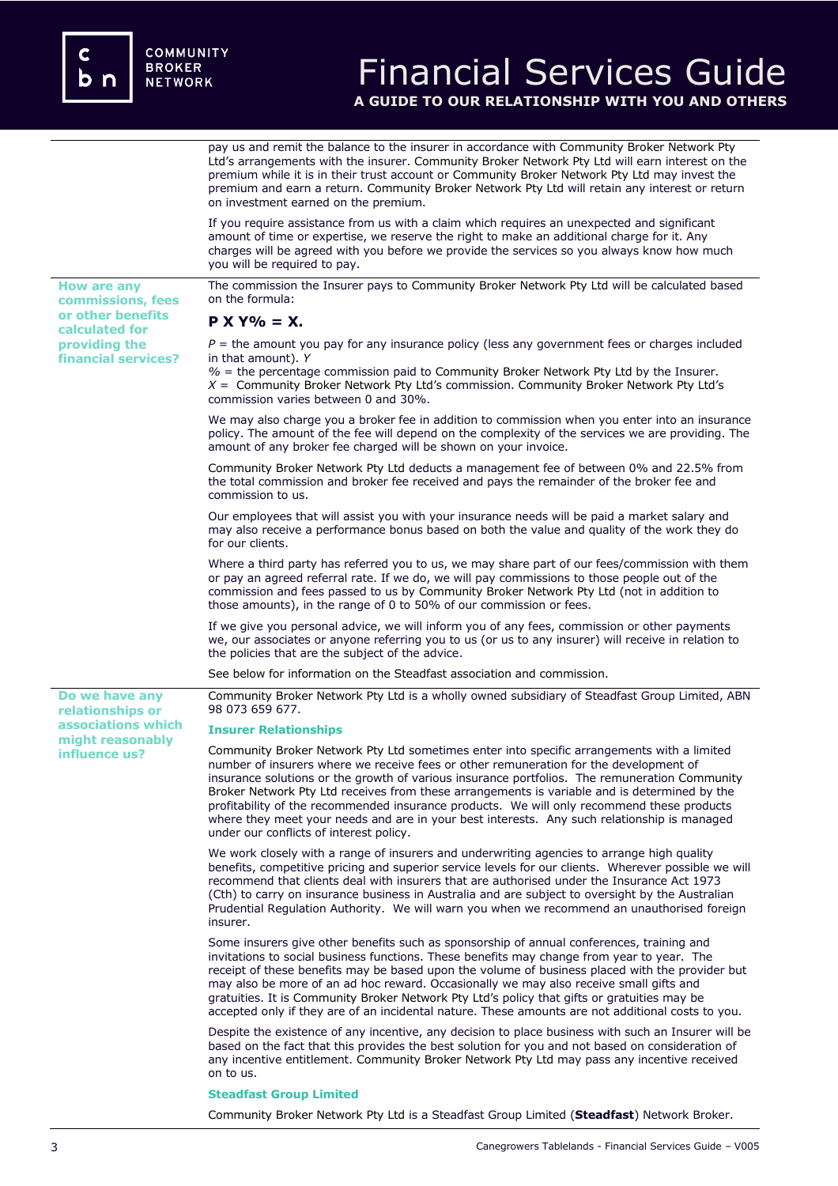**or other benefits calculated for providing the financial services?**

**Do we have any relationships or associations which might reasonably influence us?** 

## Financial Services Guide **A GUIDE TO OUR RELATIONSHIP WITH YOU AND OTHERS**

pay us and remit the balance to the insurer in accordance with Community Broker Network Pty Ltd's arrangements with the insurer. Community Broker Network Pty Ltd will earn interest on the premium while it is in their trust account or Community Broker Network Pty Ltd may invest the premium and earn a return. Community Broker Network Pty Ltd will retain any interest or return on investment earned on the premium.

If you require assistance from us with a claim which requires an unexpected and significant amount of time or expertise, we reserve the right to make an additional charge for it. Any charges will be agreed with you before we provide the services so you always know how much you will be required to pay.

**How are any commissions, fees**  The commission the Insurer pays to Community Broker Network Pty Ltd will be calculated based on the formula:

## **P X Y% = X.**

 $P =$  the amount you pay for any insurance policy (less any government fees or charges included in that amount). *Y*

*%* = the percentage commission paid to Community Broker Network Pty Ltd by the Insurer. *X* = Community Broker Network Pty Ltd's commission. Community Broker Network Pty Ltd's commission varies between 0 and 30%.

We may also charge you a broker fee in addition to commission when you enter into an insurance policy. The amount of the fee will depend on the complexity of the services we are providing. The amount of any broker fee charged will be shown on your invoice.

Community Broker Network Pty Ltd deducts a management fee of between 0% and 22.5% from the total commission and broker fee received and pays the remainder of the broker fee and commission to us.

Our employees that will assist you with your insurance needs will be paid a market salary and may also receive a performance bonus based on both the value and quality of the work they do for our clients.

Where a third party has referred you to us, we may share part of our fees/commission with them or pay an agreed referral rate. If we do, we will pay commissions to those people out of the commission and fees passed to us by Community Broker Network Pty Ltd (not in addition to those amounts), in the range of 0 to 50% of our commission or fees.

If we give you personal advice, we will inform you of any fees, commission or other payments we, our associates or anyone referring you to us (or us to any insurer) will receive in relation to the policies that are the subject of the advice.

See below for information on the Steadfast association and commission.

Community Broker Network Pty Ltd is a wholly owned subsidiary of Steadfast Group Limited, ABN 98 073 659 677.

### **Insurer Relationships**

Community Broker Network Pty Ltd sometimes enter into specific arrangements with a limited number of insurers where we receive fees or other remuneration for the development of insurance solutions or the growth of various insurance portfolios. The remuneration Community Broker Network Pty Ltd receives from these arrangements is variable and is determined by the profitability of the recommended insurance products. We will only recommend these products where they meet your needs and are in your best interests. Any such relationship is managed under our conflicts of interest policy.

We work closely with a range of insurers and underwriting agencies to arrange high quality benefits, competitive pricing and superior service levels for our clients. Wherever possible we will recommend that clients deal with insurers that are authorised under the Insurance Act 1973 (Cth) to carry on insurance business in Australia and are subject to oversight by the Australian Prudential Regulation Authority. We will warn you when we recommend an unauthorised foreign insurer.

Some insurers give other benefits such as sponsorship of annual conferences, training and invitations to social business functions. These benefits may change from year to year. The receipt of these benefits may be based upon the volume of business placed with the provider but may also be more of an ad hoc reward. Occasionally we may also receive small gifts and gratuities. It is Community Broker Network Pty Ltd's policy that gifts or gratuities may be accepted only if they are of an incidental nature. These amounts are not additional costs to you.

Despite the existence of any incentive, any decision to place business with such an Insurer will be based on the fact that this provides the best solution for you and not based on consideration of any incentive entitlement. Community Broker Network Pty Ltd may pass any incentive received on to us.

#### **Steadfast Group Limited**

Community Broker Network Pty Ltd is a Steadfast Group Limited (**Steadfast**) Network Broker.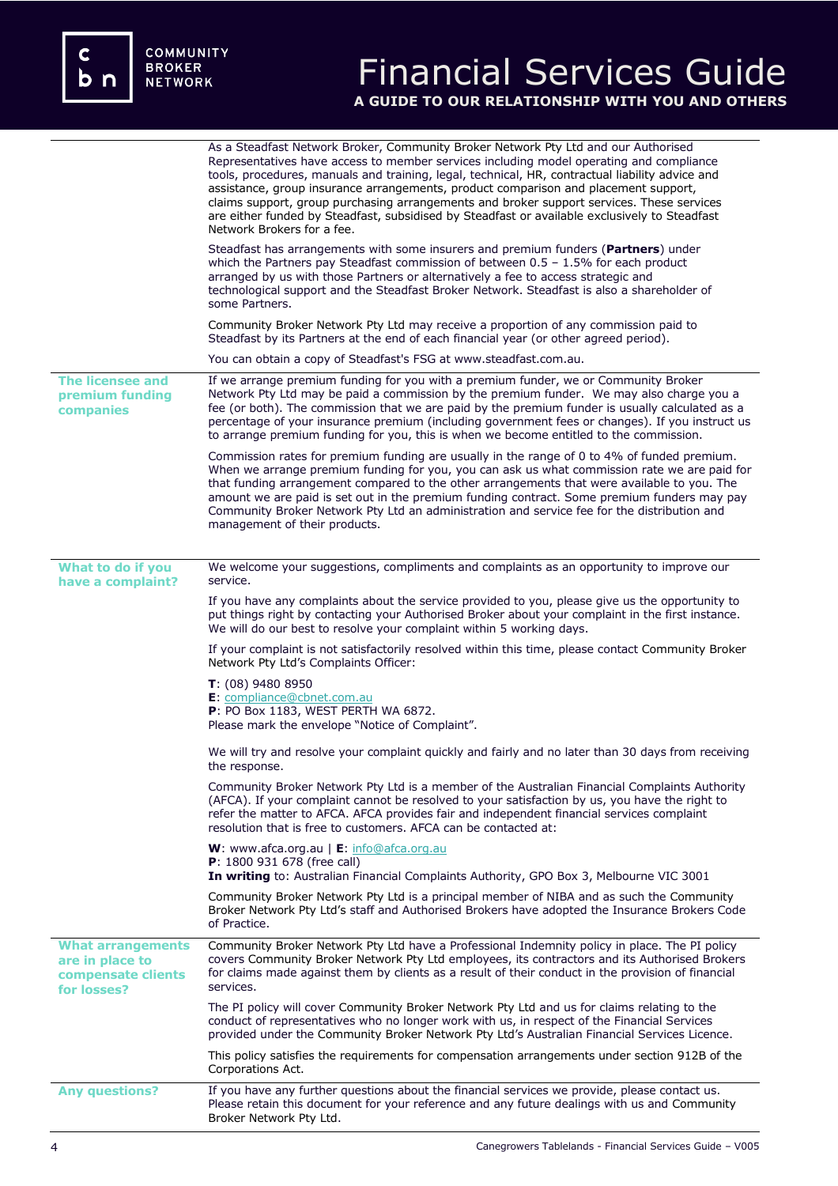c<br>b n

# Financial Services Guide **A GUIDE TO OUR RELATIONSHIP WITH YOU AND OTHERS**

|                                                                                  | As a Steadfast Network Broker, Community Broker Network Pty Ltd and our Authorised<br>Representatives have access to member services including model operating and compliance<br>tools, procedures, manuals and training, legal, technical, HR, contractual liability advice and<br>assistance, group insurance arrangements, product comparison and placement support,<br>claims support, group purchasing arrangements and broker support services. These services<br>are either funded by Steadfast, subsidised by Steadfast or available exclusively to Steadfast<br>Network Brokers for a fee. |
|----------------------------------------------------------------------------------|-----------------------------------------------------------------------------------------------------------------------------------------------------------------------------------------------------------------------------------------------------------------------------------------------------------------------------------------------------------------------------------------------------------------------------------------------------------------------------------------------------------------------------------------------------------------------------------------------------|
|                                                                                  | Steadfast has arrangements with some insurers and premium funders ( <b>Partners</b> ) under<br>which the Partners pay Steadfast commission of between $0.5 - 1.5\%$ for each product<br>arranged by us with those Partners or alternatively a fee to access strategic and<br>technological support and the Steadfast Broker Network. Steadfast is also a shareholder of<br>some Partners.                                                                                                                                                                                                           |
|                                                                                  | Community Broker Network Pty Ltd may receive a proportion of any commission paid to<br>Steadfast by its Partners at the end of each financial year (or other agreed period).                                                                                                                                                                                                                                                                                                                                                                                                                        |
|                                                                                  | You can obtain a copy of Steadfast's FSG at www.steadfast.com.au.                                                                                                                                                                                                                                                                                                                                                                                                                                                                                                                                   |
| <b>The licensee and</b><br>premium funding<br>companies                          | If we arrange premium funding for you with a premium funder, we or Community Broker<br>Network Pty Ltd may be paid a commission by the premium funder. We may also charge you a<br>fee (or both). The commission that we are paid by the premium funder is usually calculated as a<br>percentage of your insurance premium (including government fees or changes). If you instruct us<br>to arrange premium funding for you, this is when we become entitled to the commission.                                                                                                                     |
|                                                                                  | Commission rates for premium funding are usually in the range of 0 to 4% of funded premium.<br>When we arrange premium funding for you, you can ask us what commission rate we are paid for<br>that funding arrangement compared to the other arrangements that were available to you. The<br>amount we are paid is set out in the premium funding contract. Some premium funders may pay<br>Community Broker Network Pty Ltd an administration and service fee for the distribution and<br>management of their products.                                                                           |
| What to do if you                                                                | We welcome your suggestions, compliments and complaints as an opportunity to improve our                                                                                                                                                                                                                                                                                                                                                                                                                                                                                                            |
| have a complaint?                                                                | service.                                                                                                                                                                                                                                                                                                                                                                                                                                                                                                                                                                                            |
|                                                                                  | If you have any complaints about the service provided to you, please give us the opportunity to<br>put things right by contacting your Authorised Broker about your complaint in the first instance.<br>We will do our best to resolve your complaint within 5 working days.                                                                                                                                                                                                                                                                                                                        |
|                                                                                  | If your complaint is not satisfactorily resolved within this time, please contact Community Broker<br>Network Pty Ltd's Complaints Officer:                                                                                                                                                                                                                                                                                                                                                                                                                                                         |
|                                                                                  | $T: (08)$ 9480 8950<br>E: compliance@cbnet.com.au<br>P: PO Box 1183, WEST PERTH WA 6872.<br>Please mark the envelope "Notice of Complaint".                                                                                                                                                                                                                                                                                                                                                                                                                                                         |
|                                                                                  | We will try and resolve your complaint quickly and fairly and no later than 30 days from receiving<br>the response.                                                                                                                                                                                                                                                                                                                                                                                                                                                                                 |
|                                                                                  | Community Broker Network Pty Ltd is a member of the Australian Financial Complaints Authority<br>(AFCA). If your complaint cannot be resolved to your satisfaction by us, you have the right to<br>refer the matter to AFCA. AFCA provides fair and independent financial services complaint<br>resolution that is free to customers. AFCA can be contacted at:                                                                                                                                                                                                                                     |
|                                                                                  | <b>W</b> : www.afca.org.au $\mathsf{E}$ : info@afca.org.au<br>P: 1800 931 678 (free call)<br>In writing to: Australian Financial Complaints Authority, GPO Box 3, Melbourne VIC 3001                                                                                                                                                                                                                                                                                                                                                                                                                |
|                                                                                  | Community Broker Network Pty Ltd is a principal member of NIBA and as such the Community<br>Broker Network Pty Ltd's staff and Authorised Brokers have adopted the Insurance Brokers Code<br>of Practice.                                                                                                                                                                                                                                                                                                                                                                                           |
| <b>What arrangements</b><br>are in place to<br>compensate clients<br>for losses? | Community Broker Network Pty Ltd have a Professional Indemnity policy in place. The PI policy<br>covers Community Broker Network Pty Ltd employees, its contractors and its Authorised Brokers<br>for claims made against them by clients as a result of their conduct in the provision of financial<br>services.                                                                                                                                                                                                                                                                                   |
|                                                                                  | The PI policy will cover Community Broker Network Pty Ltd and us for claims relating to the<br>conduct of representatives who no longer work with us, in respect of the Financial Services<br>provided under the Community Broker Network Pty Ltd's Australian Financial Services Licence.                                                                                                                                                                                                                                                                                                          |
|                                                                                  | This policy satisfies the requirements for compensation arrangements under section 912B of the<br>Corporations Act.                                                                                                                                                                                                                                                                                                                                                                                                                                                                                 |
| <b>Any questions?</b>                                                            | If you have any further questions about the financial services we provide, please contact us.<br>Please retain this document for your reference and any future dealings with us and Community<br>Broker Network Pty Ltd.                                                                                                                                                                                                                                                                                                                                                                            |